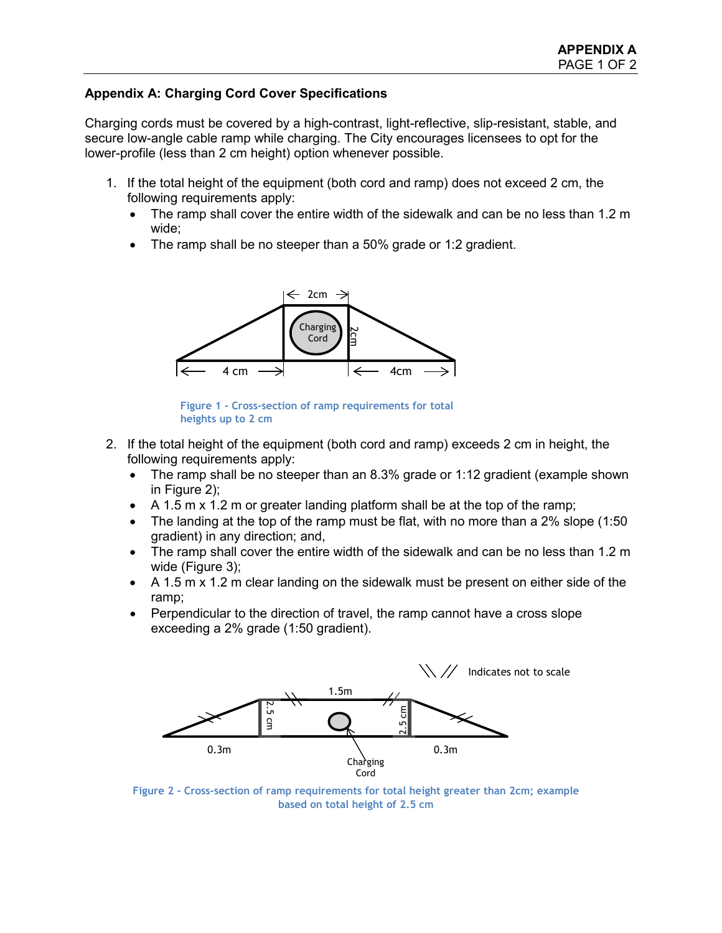## **Appendix A: Charging Cord Cover Specifications**

Charging cords must be covered by a high-contrast, light-reflective, slip-resistant, stable, and secure low-angle cable ramp while charging. The City encourages licensees to opt for the lower-profile (less than 2 cm height) option whenever possible.

- 1. If the total height of the equipment (both cord and ramp) does not exceed 2 cm, the following requirements apply:
	- The ramp shall cover the entire width of the sidewalk and can be no less than 1.2 m wide;
	- The ramp shall be no steeper than a 50% grade or 1:2 gradient.



**Figure 1 - Cross-section of ramp requirements for total heights up to 2 cm**

- 2. If the total height of the equipment (both cord and ramp) exceeds 2 cm in height, the following requirements apply:
	- The ramp shall be no steeper than an 8.3% grade or 1:12 gradient (example shown in Figure 2);
	- A 1.5 m x 1.2 m or greater landing platform shall be at the top of the ramp;
	- The landing at the top of the ramp must be flat, with no more than a 2% slope (1:50) gradient) in any direction; and,
	- The ramp shall cover the entire width of the sidewalk and can be no less than 1.2 m wide (Figure 3);
	- A 1.5 m x 1.2 m clear landing on the sidewalk must be present on either side of the ramp;
	- Perpendicular to the direction of travel, the ramp cannot have a cross slope exceeding a 2% grade (1:50 gradient).



**Figure 2 - Cross-section of ramp requirements for total height greater than 2cm; example based on total height of 2.5 cm**